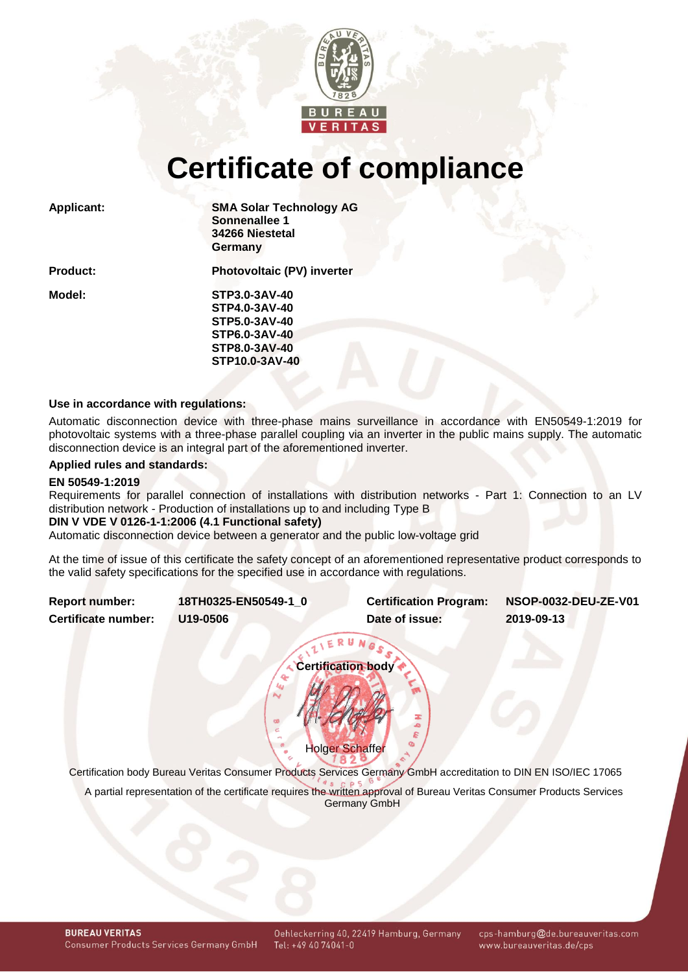

# **Certificate of compliance**

**Applicant: SMA Solar Technology AG Sonnenallee 1 34266 Niestetal Germany**

**Product: Photovoltaic (PV) inverter**

**Model: STP3.0-3AV-40 STP4.0-3AV-40 STP5.0-3AV-40 STP6.0-3AV-40 STP8.0-3AV-40 STP10.0-3AV-40**

#### **Use in accordance with regulations:**

Automatic disconnection device with three-phase mains surveillance in accordance with EN50549-1:2019 for photovoltaic systems with a three-phase parallel coupling via an inverter in the public mains supply. The automatic disconnection device is an integral part of the aforementioned inverter.

## **Applied rules and standards:**

#### **EN 50549-1:2019**

Requirements for parallel connection of installations with distribution networks - Part 1: Connection to an LV distribution network - Production of installations up to and including Type B

#### **DIN V VDE V 0126-1-1:2006 (4.1 Functional safety)**

Automatic disconnection device between a generator and the public low-voltage grid

At the time of issue of this certificate the safety concept of an aforementioned representative product corresponds to the valid safety specifications for the specified use in accordance with regulations.

<span id="page-0-1"></span>

| <b>Report number:</b> | 18TH0325-EN50549-1 0 | <b>Certification Program:</b> | <b>NSOP-0032-DEU-ZE-V01</b> |  |  |  |  |
|-----------------------|----------------------|-------------------------------|-----------------------------|--|--|--|--|
| Certificate number:   | U19-0506             |                               | 2019-09-13                  |  |  |  |  |
|                       |                      |                               |                             |  |  |  |  |

<span id="page-0-0"></span>**Certification body** Holger Schaffer

Certification body Bureau Veritas Consumer Products Services Germany GmbH accreditation to DIN EN ISO/IEC 17065 A partial representation of the certificate requires the written approval of Bureau Veritas Consumer Products Services Germany GmbH

cps-hamburg@de.bureauveritas.com www.bureauveritas.de/cps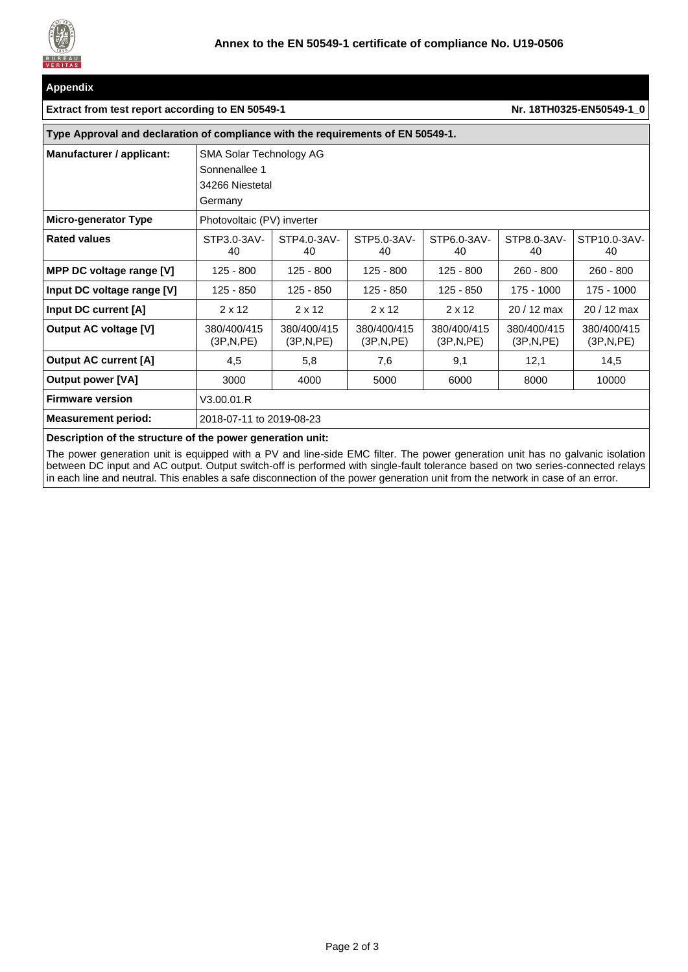

#### **Appendix**

#### **Extract from test report according to EN 50549-1 NR 18TH0325-EN50549-1\_0**

| Type Approval and declaration of compliance with the requirements of EN 50549-1. |                                                                        |                          |                          |                          |                          |                          |  |  |
|----------------------------------------------------------------------------------|------------------------------------------------------------------------|--------------------------|--------------------------|--------------------------|--------------------------|--------------------------|--|--|
| Manufacturer / applicant:                                                        | SMA Solar Technology AG<br>Sonnenallee 1<br>34266 Niestetal<br>Germany |                          |                          |                          |                          |                          |  |  |
| Micro-generator Type                                                             | Photovoltaic (PV) inverter                                             |                          |                          |                          |                          |                          |  |  |
| <b>Rated values</b>                                                              | STP3.0-3AV-<br>40                                                      | STP4.0-3AV-<br>40        | STP5.0-3AV-<br>40        | STP6.0-3AV-<br>40        | STP8.0-3AV-<br>40        | STP10.0-3AV-<br>40       |  |  |
| MPP DC voltage range [V]                                                         | $125 - 800$                                                            | $125 - 800$              | $125 - 800$              | $125 - 800$              | $260 - 800$              | $260 - 800$              |  |  |
| Input DC voltage range [V]                                                       | 125 - 850                                                              | 125 - 850                | 125 - 850                | $125 - 850$              | 175 - 1000               | 175 - 1000               |  |  |
| Input DC current [A]                                                             | $2 \times 12$                                                          | $2 \times 12$            | $2 \times 12$            | $2 \times 12$            | 20 / 12 max              | $20/12$ max              |  |  |
| <b>Output AC voltage [V]</b>                                                     | 380/400/415<br>(3P,N,PE)                                               | 380/400/415<br>(3P,N,PE) | 380/400/415<br>(3P,N,PE) | 380/400/415<br>(3P,N,PE) | 380/400/415<br>(3P,N,PE) | 380/400/415<br>(3P,N,PE) |  |  |
| <b>Output AC current [A]</b>                                                     | 4,5                                                                    | 5,8                      | 7,6                      | 9,1                      | 12,1                     | 14,5                     |  |  |
| <b>Output power [VA]</b>                                                         | 3000                                                                   | 4000                     | 5000                     | 6000                     | 8000                     | 10000                    |  |  |
| <b>Firmware version</b>                                                          | V3.00.01.R                                                             |                          |                          |                          |                          |                          |  |  |
| <b>Measurement period:</b>                                                       | 2018-07-11 to 2019-08-23                                               |                          |                          |                          |                          |                          |  |  |

#### **Description of the structure of the power generation unit:**

The power generation unit is equipped with a PV and line-side EMC filter. The power generation unit has no galvanic isolation between DC input and AC output. Output switch-off is performed with single-fault tolerance based on two series-connected relays in each line and neutral. This enables a safe disconnection of the power generation unit from the network in case of an error.